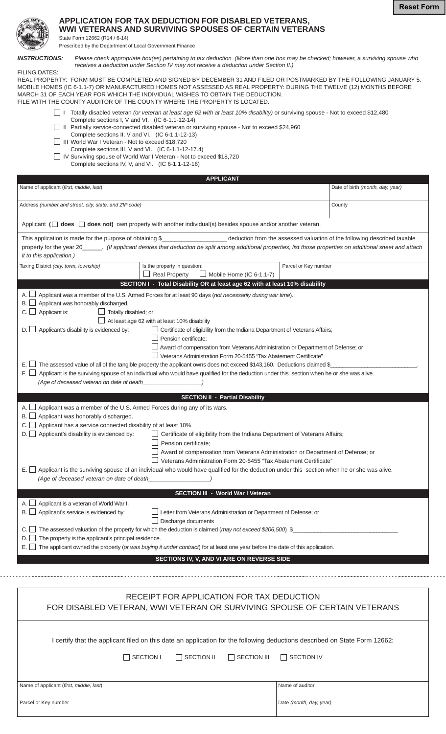

## **APPLICATION FOR TAX DEDUCTION FOR DISABLED VETERANS, WWI VETERANS AND SURVIVING SPOUSES OF CERTAIN VETERANS**

State Form 12662 (R14 / 6-14) Prescribed by the Department of Local Government Finance

*INSTRUCTIONS: Please check appropriate box(es) pertaining to tax deduction. (More than one box may be checked; however, a surviving spouse who receives a deduction under Section IV may not receive a deduction under Section II.)*

FILING DATES: REAL PROPERTY: FORM MUST BE COMPLETED AND SIGNED BY DECEMBER 31 AND FILED OR POSTMARKED BY THE FOLLOWING JANUARY 5. MOBILE HOMES (IC 6-1.1-7) OR MANUFACTURED HOMES NOT ASSESSED AS REAL PROPERTY: DURING THE TWELVE (12) MONTHS BEFORE MARCH 31 OF EACH YEAR FOR WHICH THE INDIVIDUAL WISHES TO OBTAIN THE DEDUCTION. FILE WITH THE COUNTY AUDITOR OF THE COUNTY WHERE THE PROPERTY IS LOCATED.

|                                                 | ∐ I Totally disabled veteran <i>(or veteran at least age 62 with at least 10% disability)</i> or surviving spouse - Not to exceed \$12,480 |  |
|-------------------------------------------------|--------------------------------------------------------------------------------------------------------------------------------------------|--|
| Complete sections I, V and VI. (IC 6-1.1-12-14) |                                                                                                                                            |  |

- □ II Partially service-connected disabled veteran or surviving spouse Not to exceed \$24,960
	- Complete sections II, V and VI. (IC 6-1.1-12-13)
- III World War I Veteran Not to exceed \$18,720 Complete sections III, V and VI. (IC 6-1.1-12-17.4)

IV Surviving spouse of World War I Veteran - Not to exceed \$18,720 Complete sections IV, V, and VI. (IC 6-1.1-12-16)

| Name of applicant (first, middle, last)                                                                                                                                                                                                                                                                                                                                                                                                                                                                                                                                                                                                                                                                                                                                                                                                                                                            | Date of birth (month, day, year) |  |  |  |  |
|----------------------------------------------------------------------------------------------------------------------------------------------------------------------------------------------------------------------------------------------------------------------------------------------------------------------------------------------------------------------------------------------------------------------------------------------------------------------------------------------------------------------------------------------------------------------------------------------------------------------------------------------------------------------------------------------------------------------------------------------------------------------------------------------------------------------------------------------------------------------------------------------------|----------------------------------|--|--|--|--|
| Address (number and street, city, state, and ZIP code)                                                                                                                                                                                                                                                                                                                                                                                                                                                                                                                                                                                                                                                                                                                                                                                                                                             | County                           |  |  |  |  |
| Applicant $(\Box$ does $\Box$ does not) own property with another individual(s) besides spouse and/or another veteran.                                                                                                                                                                                                                                                                                                                                                                                                                                                                                                                                                                                                                                                                                                                                                                             |                                  |  |  |  |  |
| This application is made for the purpose of obtaining \$<br>deduction from the assessed valuation of the following described taxable<br>property for the year 20______. (If applicant desires that deduction be split among additional properties, list those properties on additional sheet and attach<br>it to this application.)                                                                                                                                                                                                                                                                                                                                                                                                                                                                                                                                                                |                                  |  |  |  |  |
| Taxing District (city, town, township)<br>Parcel or Key number<br>Is the property in question:<br>$\Box$ Real Property<br>$\Box$ Mobile Home (IC 6-1.1-7)                                                                                                                                                                                                                                                                                                                                                                                                                                                                                                                                                                                                                                                                                                                                          |                                  |  |  |  |  |
| SECTION I - Total Disability OR at least age 62 with at least 10% disability                                                                                                                                                                                                                                                                                                                                                                                                                                                                                                                                                                                                                                                                                                                                                                                                                       |                                  |  |  |  |  |
| A. $\Box$ Applicant was a member of the U.S. Armed Forces for at least 90 days (not necessarily during war time).<br>$\Box$ Applicant was honorably discharged.<br>$C.$ $\Box$ Applicant is:<br>$\Box$ Totally disabled; or<br>$\Box$ At least age 62 with at least 10% disability<br>$D.$ Applicant's disability is evidenced by:<br>$\Box$ Certificate of eligibility from the Indiana Department of Veterans Affairs;<br>Pension certificate;<br>Award of compensation from Veterans Administration or Department of Defense; or<br>Veterans Administration Form 20-5455 "Tax Abatement Certificate"<br>E. $\Box$ The assessed value of all of the tangible property the applicant owns does not exceed \$143,160. Deductions claimed \$<br>Applicant is the surviving spouse of an individual who would have qualified for the deduction under this section when he or she was alive.<br>F. LJ |                                  |  |  |  |  |
| <b>SECTION II - Partial Disability</b>                                                                                                                                                                                                                                                                                                                                                                                                                                                                                                                                                                                                                                                                                                                                                                                                                                                             |                                  |  |  |  |  |
| A. $\Box$ Applicant was a member of the U.S. Armed Forces during any of its wars.<br>$\perp$ Applicant was honorably discharged.<br>$\Box$ Applicant has a service connected disability of at least 10%<br>$D.$ Applicant's disability is evidenced by:<br>Certificate of eligibility from the Indiana Department of Veterans Affairs;<br>Pension certificate:<br>Award of compensation from Veterans Administration or Department of Defense; or<br>Veterans Administration Form 20-5455 "Tax Abatement Certificate"<br>E. □ Applicant is the surviving spouse of an individual who would have qualified for the deduction under this section when he or she was alive.<br>(Age of deceased veteran on date of death                                                                                                                                                                              |                                  |  |  |  |  |
| <b>SECTION III - World War I Veteran</b>                                                                                                                                                                                                                                                                                                                                                                                                                                                                                                                                                                                                                                                                                                                                                                                                                                                           |                                  |  |  |  |  |
| A. $\Box$ Applicant is a veteran of World War I.<br>$B.$ $\Box$ Applicant's service is evidenced by:<br>Letter from Veterans Administration or Department of Defense; or<br>Discharge documents<br>C. $\Box$ The assessed valuation of the property for which the deduction is claimed (may not exceed \$206,500) \$<br>The property is the applicant's principal residence.<br>$E.$ The applicant owned the property (or was buying it under contract) for at least one year before the date of this application.                                                                                                                                                                                                                                                                                                                                                                                 |                                  |  |  |  |  |

**SECTIONS IV, V, AND VI ARE ON REVERSE SIDE**

| RECEIPT FOR APPLICATION FOR TAX DEDUCTION<br>FOR DISABLED VETERAN, WWI VETERAN OR SURVIVING SPOUSE OF CERTAIN VETERANS                                                                                   |  |  |  |                         |  |  |
|----------------------------------------------------------------------------------------------------------------------------------------------------------------------------------------------------------|--|--|--|-------------------------|--|--|
| I certify that the applicant filed on this date an application for the following deductions described on State Form 12662:<br>  SECTION I<br>SECTION II<br>  SECTION III<br>  SECTION IV<br>$\mathbf{1}$ |  |  |  |                         |  |  |
| Name of applicant (first, middle, last)                                                                                                                                                                  |  |  |  | Name of auditor         |  |  |
| Parcel or Key number                                                                                                                                                                                     |  |  |  | Date (month, day, year) |  |  |